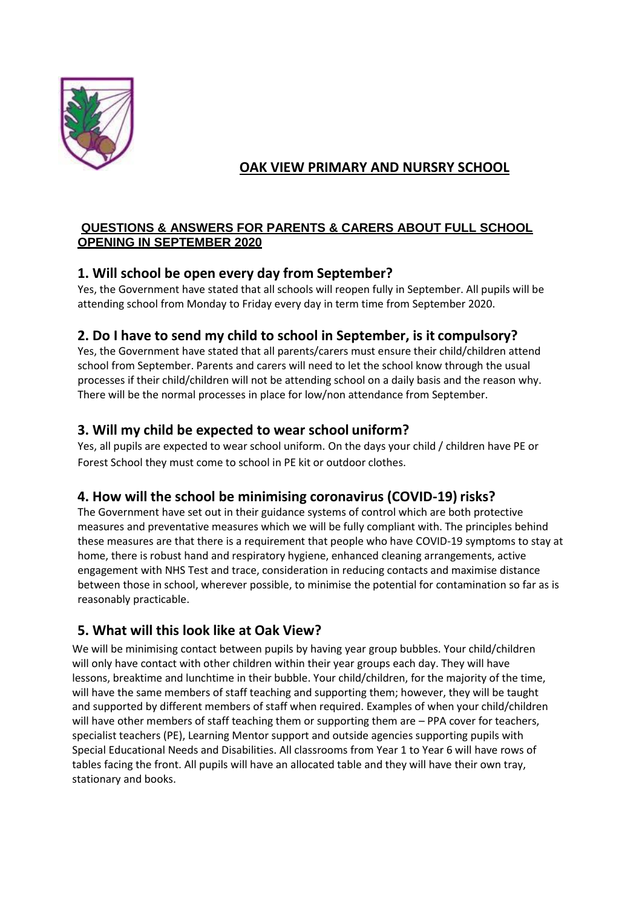

# **OAK VIEW PRIMARY AND NURSRY SCHOOL**

#### **QUESTIONS & ANSWERS FOR PARENTS & CARERS ABOUT FULL SCHOOL OPENING IN SEPTEMBER 2020**

## **1. Will school be open every day from September?**

Yes, the Government have stated that all schools will reopen fully in September. All pupils will be attending school from Monday to Friday every day in term time from September 2020.

# **2. Do I have to send my child to school in September, is it compulsory?**

Yes, the Government have stated that all parents/carers must ensure their child/children attend school from September. Parents and carers will need to let the school know through the usual processes if their child/children will not be attending school on a daily basis and the reason why. There will be the normal processes in place for low/non attendance from September.

# **3. Will my child be expected to wear school uniform?**

Yes, all pupils are expected to wear school uniform. On the days your child / children have PE or Forest School they must come to school in PE kit or outdoor clothes.

## **4. How will the school be minimising coronavirus (COVID-19)risks?**

The Government have set out in their guidance systems of control which are both protective measures and preventative measures which we will be fully compliant with. The principles behind these measures are that there is a requirement that people who have COVID-19 symptoms to stay at home, there is robust hand and respiratory hygiene, enhanced cleaning arrangements, active engagement with NHS Test and trace, consideration in reducing contacts and maximise distance between those in school, wherever possible, to minimise the potential for contamination so far as is reasonably practicable.

# **5. What will this look like at Oak View?**

We will be minimising contact between pupils by having year group bubbles. Your child/children will only have contact with other children within their year groups each day. They will have lessons, breaktime and lunchtime in their bubble. Your child/children, for the majority of the time, will have the same members of staff teaching and supporting them; however, they will be taught and supported by different members of staff when required. Examples of when your child/children will have other members of staff teaching them or supporting them are - PPA cover for teachers, specialist teachers (PE), Learning Mentor support and outside agencies supporting pupils with Special Educational Needs and Disabilities. All classrooms from Year 1 to Year 6 will have rows of tables facing the front. All pupils will have an allocated table and they will have their own tray, stationary and books.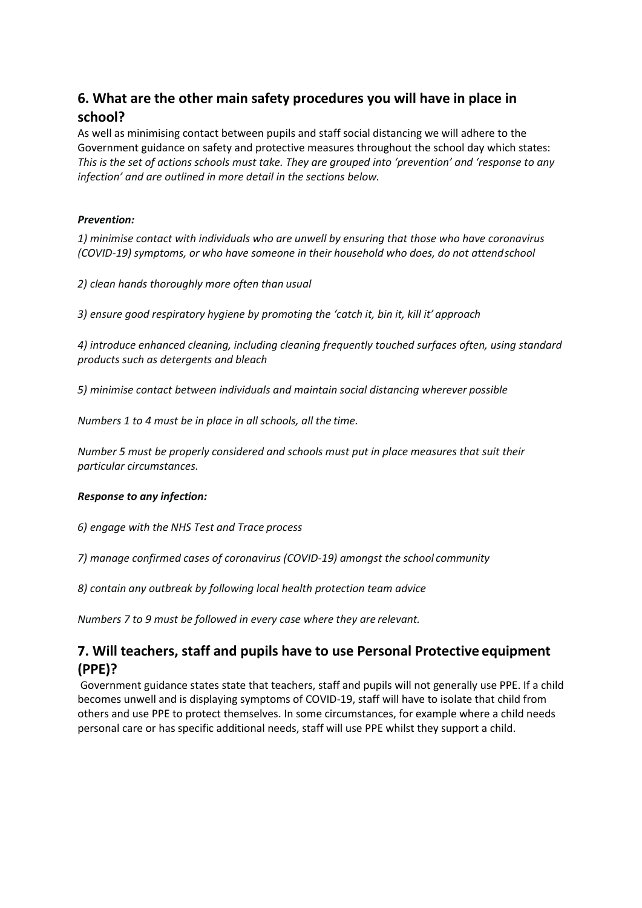# **6. What are the other main safety procedures you will have in place in school?**

As well as minimising contact between pupils and staff social distancing we will adhere to the Government guidance on safety and protective measures throughout the school day which states: *This is the set of actions schools must take. They are grouped into 'prevention' and 'response to any infection' and are outlined in more detail in the sections below.*

#### *Prevention:*

*1) minimise contact with individuals who are unwell by ensuring that those who have coronavirus (COVID-19) symptoms, or who have someone in their household who does, do not attendschool*

*2) clean hands thoroughly more often than usual*

*3) ensure good respiratory hygiene by promoting the 'catch it, bin it, kill it' approach*

*4) introduce enhanced cleaning, including cleaning frequently touched surfaces often, using standard products such as detergents and bleach*

*5) minimise contact between individuals and maintain social distancing wherever possible*

*Numbers 1 to 4 must be in place in all schools, all the time.*

*Number 5 must be properly considered and schools must put in place measures that suit their particular circumstances.*

#### *Response to any infection:*

*6) engage with the NHS Test and Trace process*

*7) manage confirmed cases of coronavirus (COVID-19) amongst the school community*

*8) contain any outbreak by following local health protection team advice* 

*Numbers 7 to 9 must be followed in every case where they are relevant.*

### **7. Will teachers, staff and pupils have to use Personal Protective equipment (PPE)?**

Government guidance states state that teachers, staff and pupils will not generally use PPE. If a child becomes unwell and is displaying symptoms of COVID-19, staff will have to isolate that child from others and use PPE to protect themselves. In some circumstances, for example where a child needs personal care or has specific additional needs, staff will use PPE whilst they support a child.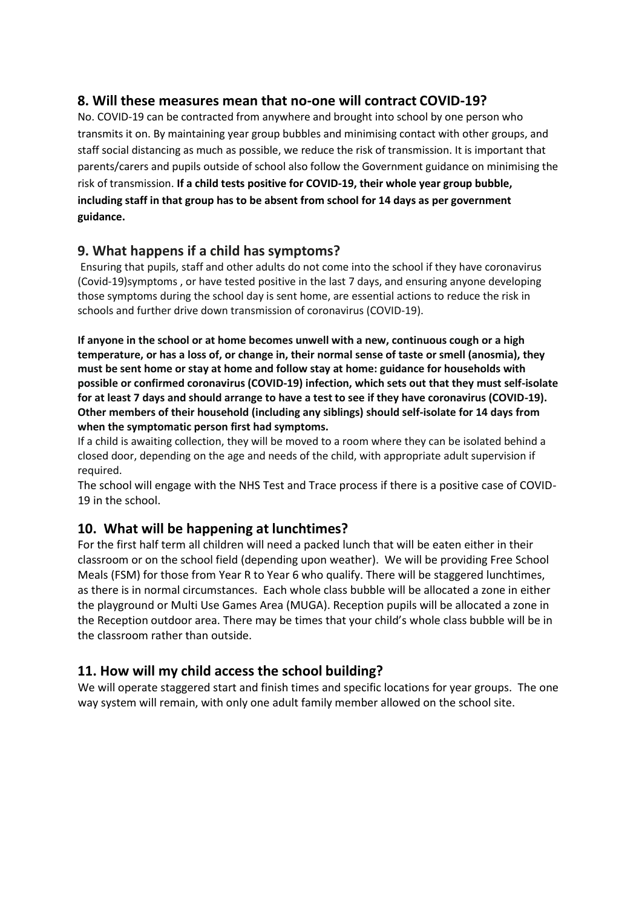#### **8. Will these measures mean that no-one will contract COVID-19?**

No. COVID-19 can be contracted from anywhere and brought into school by one person who transmits it on. By maintaining year group bubbles and minimising contact with other groups, and staff social distancing as much as possible, we reduce the risk of transmission. It is important that parents/carers and pupils outside of school also follow the Government guidance on minimising the risk of transmission. **If a child tests positive for COVID-19, their whole year group bubble, including staff in that group has to be absent from school for 14 days as per government guidance.**

#### **9. What happens if a child has symptoms?**

Ensuring that pupils, staff and other adults do not come into the school if they have coronavirus (Covid-19)symptoms , or have tested positive in the last 7 days, and ensuring anyone developing those symptoms during the school day is sent home, are essential actions to reduce the risk in schools and further drive down transmission of coronavirus (COVID-19).

**If anyone in the school or at home becomes unwell with a new, continuous cough or a high temperature, or has a loss of, or change in, their normal sense of taste or smell (anosmia), they must be sent home or stay at home and follow stay at home: guidance for households with possible or confirmed coronavirus (COVID-19) infection, which sets out that they must self-isolate for at least 7 days and should arrange to have a test to see if they have coronavirus (COVID-19). Other members of their household (including any siblings) should self-isolate for 14 days from when the symptomatic person first had symptoms.**

If a child is awaiting collection, they will be moved to a room where they can be isolated behind a closed door, depending on the age and needs of the child, with appropriate adult supervision if required.

The school will engage with the NHS Test and Trace process if there is a positive case of COVID-19 in the school.

#### **10. What will be happening at lunchtimes?**

For the first half term all children will need a packed lunch that will be eaten either in their classroom or on the school field (depending upon weather). We will be providing Free School Meals (FSM) for those from Year R to Year 6 who qualify. There will be staggered lunchtimes, as there is in normal circumstances. Each whole class bubble will be allocated a zone in either the playground or Multi Use Games Area (MUGA). Reception pupils will be allocated a zone in the Reception outdoor area. There may be times that your child's whole class bubble will be in the classroom rather than outside.

#### **11. How will my child access the school building?**

We will operate staggered start and finish times and specific locations for year groups. The one way system will remain, with only one adult family member allowed on the school site.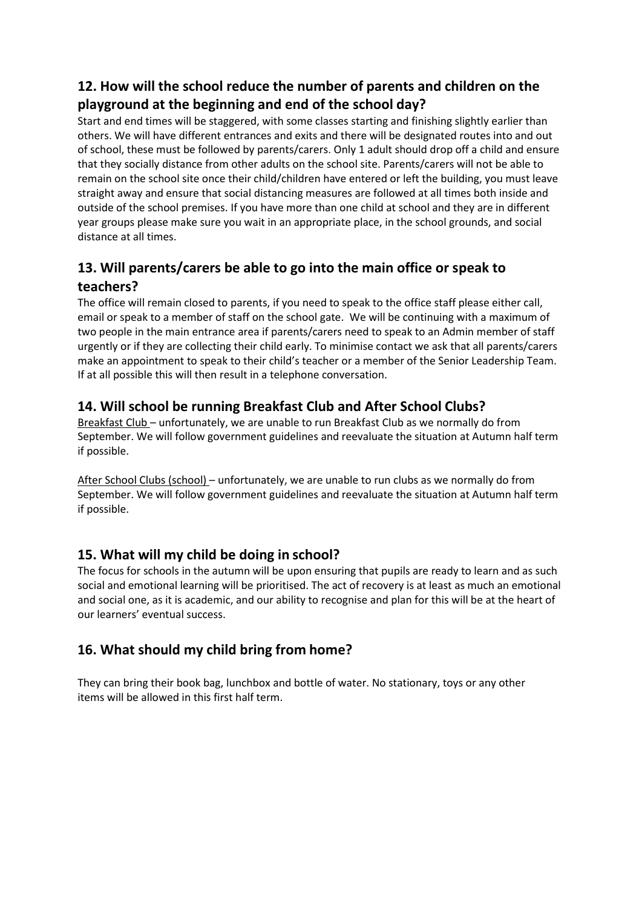# **12. How will the school reduce the number of parents and children on the playground at the beginning and end of the school day?**

Start and end times will be staggered, with some classes starting and finishing slightly earlier than others. We will have different entrances and exits and there will be designated routes into and out of school, these must be followed by parents/carers. Only 1 adult should drop off a child and ensure that they socially distance from other adults on the school site. Parents/carers will not be able to remain on the school site once their child/children have entered or left the building, you must leave straight away and ensure that social distancing measures are followed at all times both inside and outside of the school premises. If you have more than one child at school and they are in different year groups please make sure you wait in an appropriate place, in the school grounds, and social distance at all times.

# **13. Will parents/carers be able to go into the main office or speak to teachers?**

The office will remain closed to parents, if you need to speak to the office staff please either call, email or speak to a member of staff on the school gate. We will be continuing with a maximum of two people in the main entrance area if parents/carers need to speak to an Admin member of staff urgently or if they are collecting their child early. To minimise contact we ask that all parents/carers make an appointment to speak to their child's teacher or a member of the Senior Leadership Team. If at all possible this will then result in a telephone conversation.

## **14. Will school be running Breakfast Club and After School Clubs?**

Breakfast Club – unfortunately, we are unable to run Breakfast Club as we normally do from September. We will follow government guidelines and reevaluate the situation at Autumn half term if possible.

After School Clubs (school) – unfortunately, we are unable to run clubs as we normally do from September. We will follow government guidelines and reevaluate the situation at Autumn half term if possible.

## **15. What will my child be doing in school?**

The focus for schools in the autumn will be upon ensuring that pupils are ready to learn and as such social and emotional learning will be prioritised. The act of recovery is at least as much an emotional and social one, as it is academic, and our ability to recognise and plan for this will be at the heart of our learners' eventual success.

# **16. What should my child bring from home?**

They can bring their book bag, lunchbox and bottle of water. No stationary, toys or any other items will be allowed in this first half term.